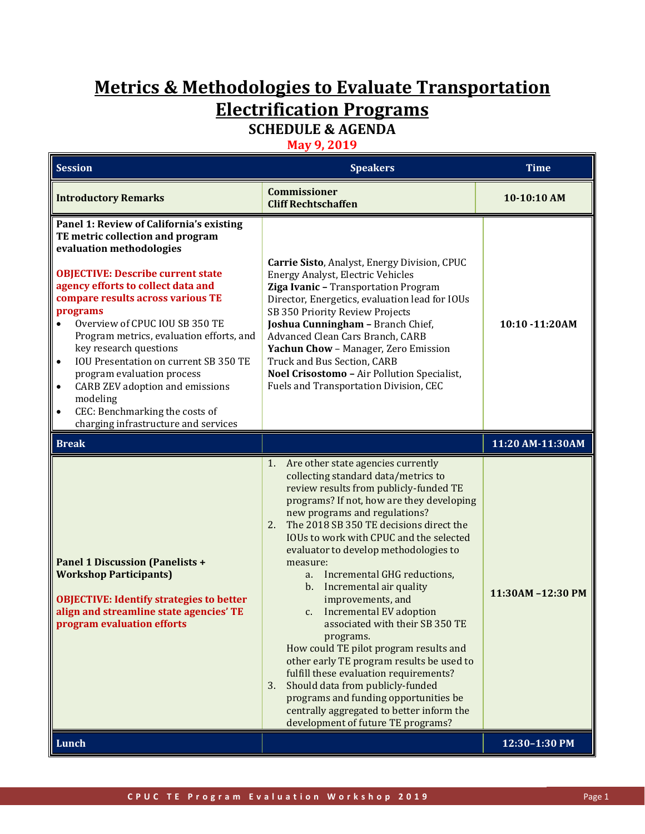# **Metrics & Methodologies to Evaluate Transportation Electrification Programs**

## **SCHEDULE & AGENDA**

**May 9, 2019**

| <b>Session</b>                                                                                                                                                                                                                                                                                                                                                                                                                                                                                                                                                                                          | <b>Speakers</b>                                                                                                                                                                                                                                                                                                                                                                                                                                                                                                                                                                                                                                                                                                                                                                                                                             | <b>Time</b>      |
|---------------------------------------------------------------------------------------------------------------------------------------------------------------------------------------------------------------------------------------------------------------------------------------------------------------------------------------------------------------------------------------------------------------------------------------------------------------------------------------------------------------------------------------------------------------------------------------------------------|---------------------------------------------------------------------------------------------------------------------------------------------------------------------------------------------------------------------------------------------------------------------------------------------------------------------------------------------------------------------------------------------------------------------------------------------------------------------------------------------------------------------------------------------------------------------------------------------------------------------------------------------------------------------------------------------------------------------------------------------------------------------------------------------------------------------------------------------|------------------|
| <b>Introductory Remarks</b>                                                                                                                                                                                                                                                                                                                                                                                                                                                                                                                                                                             | <b>Commissioner</b><br><b>Cliff Rechtschaffen</b>                                                                                                                                                                                                                                                                                                                                                                                                                                                                                                                                                                                                                                                                                                                                                                                           | 10-10:10 AM      |
| Panel 1: Review of California's existing<br>TE metric collection and program<br>evaluation methodologies<br><b>OBJECTIVE: Describe current state</b><br>agency efforts to collect data and<br>compare results across various TE<br>programs<br>Overview of CPUC IOU SB 350 TE<br>$\bullet$<br>Program metrics, evaluation efforts, and<br>key research questions<br>IOU Presentation on current SB 350 TE<br>$\bullet$<br>program evaluation process<br>CARB ZEV adoption and emissions<br>$\bullet$<br>modeling<br>CEC: Benchmarking the costs of<br>$\bullet$<br>charging infrastructure and services | Carrie Sisto, Analyst, Energy Division, CPUC<br>Energy Analyst, Electric Vehicles<br>Ziga Ivanic - Transportation Program<br>Director, Energetics, evaluation lead for IOUs<br>SB 350 Priority Review Projects<br>Joshua Cunningham - Branch Chief,<br>Advanced Clean Cars Branch, CARB<br>Yachun Chow - Manager, Zero Emission<br>Truck and Bus Section, CARB<br>Noel Crisostomo - Air Pollution Specialist,<br>Fuels and Transportation Division, CEC                                                                                                                                                                                                                                                                                                                                                                                     | 10:10 -11:20AM   |
| <b>Break</b>                                                                                                                                                                                                                                                                                                                                                                                                                                                                                                                                                                                            |                                                                                                                                                                                                                                                                                                                                                                                                                                                                                                                                                                                                                                                                                                                                                                                                                                             | 11:20 AM-11:30AM |
| <b>Panel 1 Discussion (Panelists +</b><br><b>Workshop Participants)</b><br><b>OBJECTIVE: Identify strategies to better</b><br>align and streamline state agencies' TE<br>program evaluation efforts                                                                                                                                                                                                                                                                                                                                                                                                     | Are other state agencies currently<br>1.<br>collecting standard data/metrics to<br>review results from publicly-funded TE<br>programs? If not, how are they developing<br>new programs and regulations?<br>The 2018 SB 350 TE decisions direct the<br>2.<br>IOUs to work with CPUC and the selected<br>evaluator to develop methodologies to<br>measure:<br>Incremental GHG reductions,<br>a.<br>Incremental air quality<br>b.<br>improvements, and<br>Incremental EV adoption<br>c.<br>associated with their SB 350 TE<br>programs.<br>How could TE pilot program results and<br>other early TE program results be used to<br>fulfill these evaluation requirements?<br>Should data from publicly-funded<br>3.<br>programs and funding opportunities be<br>centrally aggregated to better inform the<br>development of future TE programs? | 11:30AM-12:30 PM |
| Lunch                                                                                                                                                                                                                                                                                                                                                                                                                                                                                                                                                                                                   |                                                                                                                                                                                                                                                                                                                                                                                                                                                                                                                                                                                                                                                                                                                                                                                                                                             | 12:30-1:30 PM    |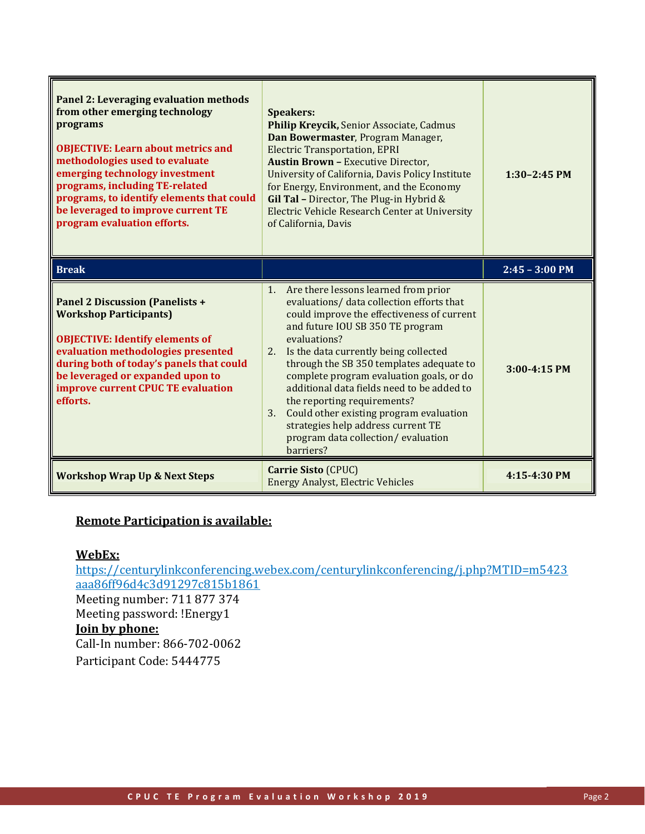| Panel 2: Leveraging evaluation methods<br>from other emerging technology<br>programs<br><b>OBJECTIVE: Learn about metrics and</b><br>methodologies used to evaluate<br>emerging technology investment<br>programs, including TE-related<br>programs, to identify elements that could<br>be leveraged to improve current TE<br>program evaluation efforts. | <b>Speakers:</b><br>Philip Kreycik, Senior Associate, Cadmus<br>Dan Bowermaster, Program Manager,<br><b>Electric Transportation, EPRI</b><br><b>Austin Brown - Executive Director,</b><br>University of California, Davis Policy Institute<br>for Energy, Environment, and the Economy<br>Gil Tal - Director, The Plug-in Hybrid $&$<br>Electric Vehicle Research Center at University<br>of California, Davis                                                                                                                                          | $1:30-2:45$ PM   |
|-----------------------------------------------------------------------------------------------------------------------------------------------------------------------------------------------------------------------------------------------------------------------------------------------------------------------------------------------------------|---------------------------------------------------------------------------------------------------------------------------------------------------------------------------------------------------------------------------------------------------------------------------------------------------------------------------------------------------------------------------------------------------------------------------------------------------------------------------------------------------------------------------------------------------------|------------------|
| <b>Break</b>                                                                                                                                                                                                                                                                                                                                              |                                                                                                                                                                                                                                                                                                                                                                                                                                                                                                                                                         | $2:45 - 3:00$ PM |
| <b>Panel 2 Discussion (Panelists +</b><br><b>Workshop Participants)</b><br><b>OBJECTIVE: Identify elements of</b><br>evaluation methodologies presented<br>during both of today's panels that could<br>be leveraged or expanded upon to<br>improve current CPUC TE evaluation<br>efforts.                                                                 | Are there lessons learned from prior<br>1.<br>evaluations/ data collection efforts that<br>could improve the effectiveness of current<br>and future IOU SB 350 TE program<br>evaluations?<br>Is the data currently being collected<br>2.<br>through the SB 350 templates adequate to<br>complete program evaluation goals, or do<br>additional data fields need to be added to<br>the reporting requirements?<br>Could other existing program evaluation<br>3.<br>strategies help address current TE<br>program data collection/evaluation<br>barriers? | 3:00-4:15 PM     |
| <b>Workshop Wrap Up &amp; Next Steps</b>                                                                                                                                                                                                                                                                                                                  | <b>Carrie Sisto (CPUC)</b><br><b>Energy Analyst, Electric Vehicles</b>                                                                                                                                                                                                                                                                                                                                                                                                                                                                                  | 4:15-4:30 PM     |

### **Remote Participation is available:**

#### **WebEx:**

[https://centurylinkconferencing.webex.com/centurylinkconferencing/j.php?MTID=m5423](https://centurylinkconferencing.webex.com/centurylinkconferencing/j.php?MTID=m5423aaa86ff96d4c3d91297c815b1861) [aaa86ff96d4c3d91297c815b1861](https://centurylinkconferencing.webex.com/centurylinkconferencing/j.php?MTID=m5423aaa86ff96d4c3d91297c815b1861) Meeting number: 711 877 374 Meeting password: !Energy1 **Join by phone:** Call-In number: 866-702-0062 Participant Code: 5444775